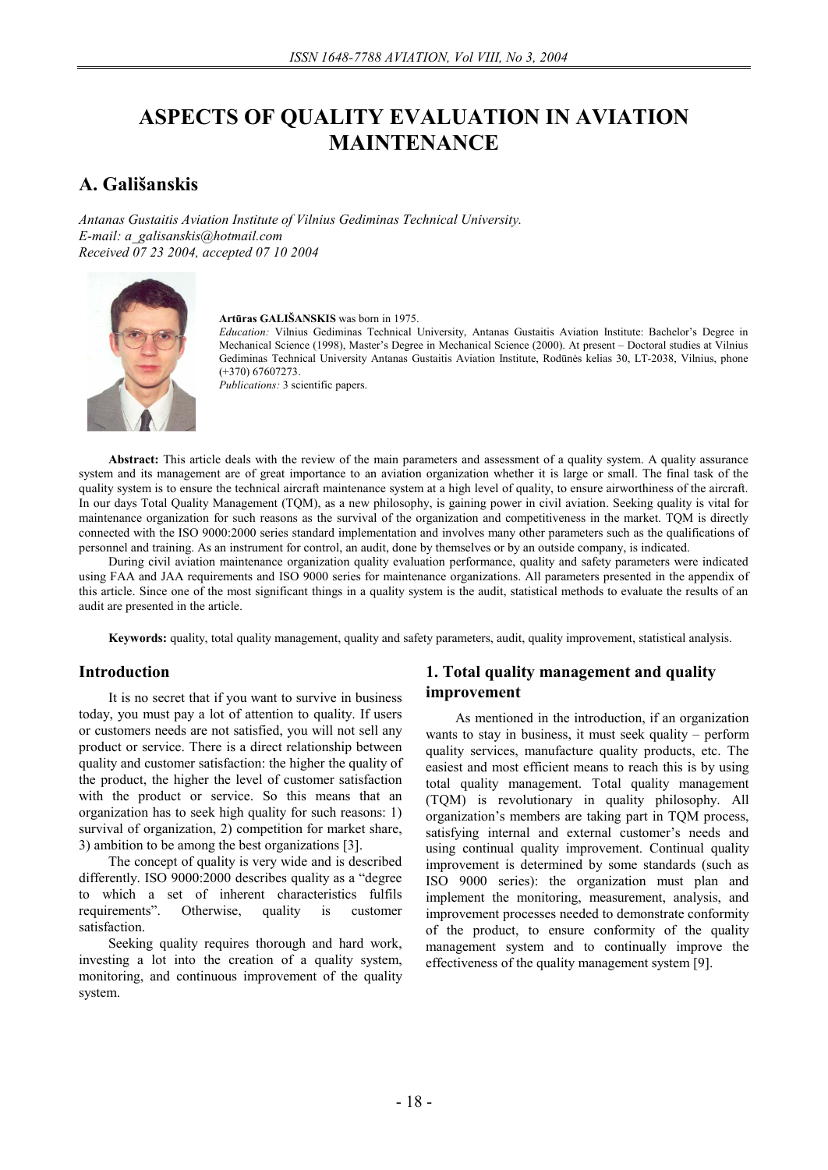# **ASPECTS OF QUALITY EVALUATION IN AVIATION MAINTENANCE**

# **A. Gališanskis**

*Antanas Gustaitis Aviation Institute of Vilnius Gediminas Technical University. E-mail: a\_galisanskis@hotmail.com Received 07 23 2004, accepted 07 10 2004* 



**Artūras GALIŠANSKIS** was born in 1975.

*Education:* Vilnius Gediminas Technical University, Antanas Gustaitis Aviation Institute: Bachelor's Degree in Mechanical Science (1998), Master's Degree in Mechanical Science (2000). At present – Doctoral studies at Vilnius Gediminas Technical University Antanas Gustaitis Aviation Institute, Rodūnės kelias 30, LT-2038, Vilnius, phone (+370) 67607273.

*Publications:* 3 scientific papers.

**Abstract:** This article deals with the review of the main parameters and assessment of a quality system. A quality assurance system and its management are of great importance to an aviation organization whether it is large or small. The final task of the quality system is to ensure the technical aircraft maintenance system at a high level of quality, to ensure airworthiness of the aircraft. In our days Total Quality Management (TQM), as a new philosophy, is gaining power in civil aviation. Seeking quality is vital for maintenance organization for such reasons as the survival of the organization and competitiveness in the market. TQM is directly connected with the ISO 9000:2000 series standard implementation and involves many other parameters such as the qualifications of personnel and training. As an instrument for control, an audit, done by themselves or by an outside company, is indicated.

During civil aviation maintenance organization quality evaluation performance, quality and safety parameters were indicated using FAA and JAA requirements and ISO 9000 series for maintenance organizations. All parameters presented in the appendix of this article. Since one of the most significant things in a quality system is the audit, statistical methods to evaluate the results of an audit are presented in the article.

**Keywords:** quality, total quality management, quality and safety parameters, audit, quality improvement, statistical analysis.

### **Introduction**

It is no secret that if you want to survive in business today, you must pay a lot of attention to quality. If users or customers needs are not satisfied, you will not sell any product or service. There is a direct relationship between quality and customer satisfaction: the higher the quality of the product, the higher the level of customer satisfaction with the product or service. So this means that an organization has to seek high quality for such reasons: 1) survival of organization, 2) competition for market share, 3) ambition to be among the best organizations [3].

The concept of quality is very wide and is described differently. ISO 9000:2000 describes quality as a "degree to which a set of inherent characteristics fulfils requirements". Otherwise, quality is customer satisfaction.

Seeking quality requires thorough and hard work, investing a lot into the creation of a quality system, monitoring, and continuous improvement of the quality system.

# **1. Total quality management and quality improvement**

As mentioned in the introduction, if an organization wants to stay in business, it must seek quality – perform quality services, manufacture quality products, etc. The easiest and most efficient means to reach this is by using total quality management. Total quality management (TQM) is revolutionary in quality philosophy. All organization's members are taking part in TQM process, satisfying internal and external customer's needs and using continual quality improvement. Continual quality improvement is determined by some standards (such as ISO 9000 series): the organization must plan and implement the monitoring, measurement, analysis, and improvement processes needed to demonstrate conformity of the product, to ensure conformity of the quality management system and to continually improve the effectiveness of the quality management system [9].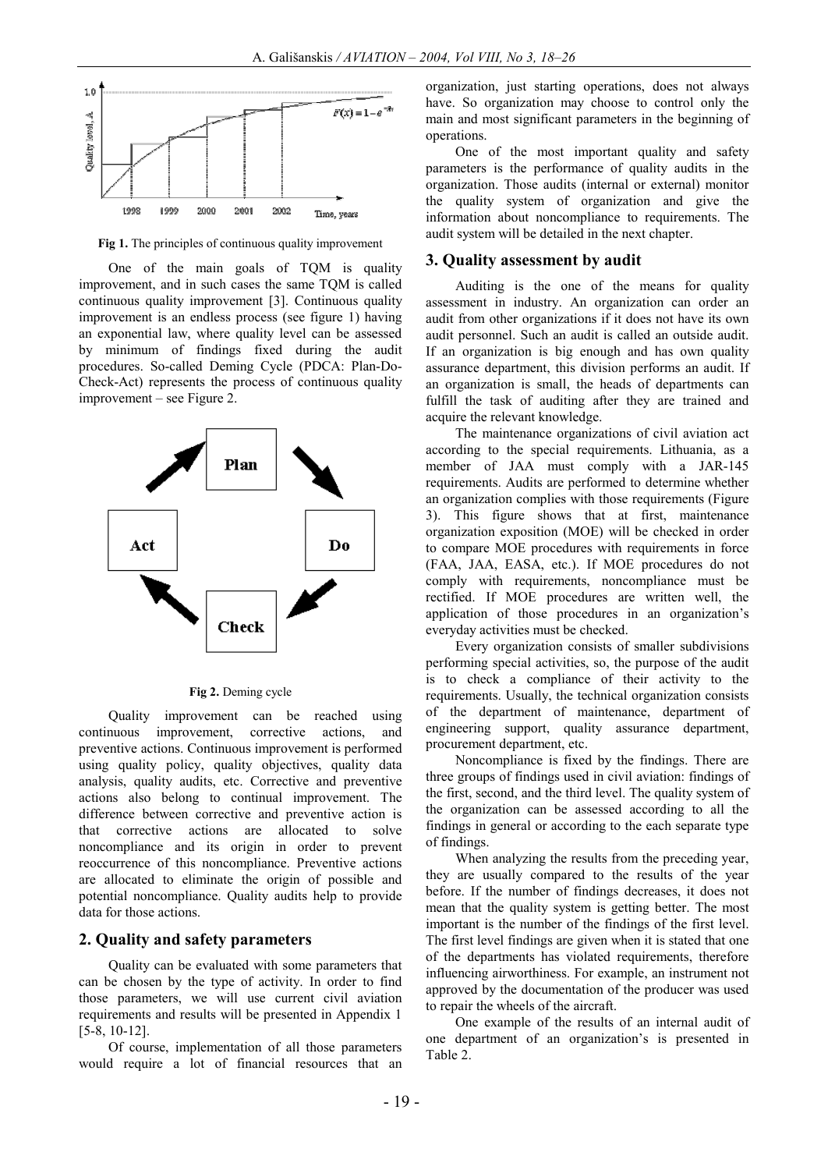

**Fig 1.** The principles of continuous quality improvement

One of the main goals of TQM is quality improvement, and in such cases the same TQM is called continuous quality improvement [3]. Continuous quality improvement is an endless process (see figure 1) having an exponential law, where quality level can be assessed by minimum of findings fixed during the audit procedures. So-called Deming Cycle (PDCA: Plan-Do-Check-Act) represents the process of continuous quality improvement – see Figure 2.



**Fig 2.** Deming cycle

Quality improvement can be reached using continuous improvement, corrective actions, and preventive actions. Continuous improvement is performed using quality policy, quality objectives, quality data analysis, quality audits, etc. Corrective and preventive actions also belong to continual improvement. The difference between corrective and preventive action is that corrective actions are allocated to solve noncompliance and its origin in order to prevent reoccurrence of this noncompliance. Preventive actions are allocated to eliminate the origin of possible and potential noncompliance. Quality audits help to provide data for those actions.

#### **2. Quality and safety parameters**

Quality can be evaluated with some parameters that can be chosen by the type of activity. In order to find those parameters, we will use current civil aviation requirements and results will be presented in Appendix 1 [5-8, 10-12].

Of course, implementation of all those parameters would require a lot of financial resources that an organization, just starting operations, does not always have. So organization may choose to control only the main and most significant parameters in the beginning of operations.

One of the most important quality and safety parameters is the performance of quality audits in the organization. Those audits (internal or external) monitor the quality system of organization and give the information about noncompliance to requirements. The audit system will be detailed in the next chapter.

#### **3. Quality assessment by audit**

Auditing is the one of the means for quality assessment in industry. An organization can order an audit from other organizations if it does not have its own audit personnel. Such an audit is called an outside audit. If an organization is big enough and has own quality assurance department, this division performs an audit. If an organization is small, the heads of departments can fulfill the task of auditing after they are trained and acquire the relevant knowledge.

The maintenance organizations of civil aviation act according to the special requirements. Lithuania, as a member of JAA must comply with a JAR-145 requirements. Audits are performed to determine whether an organization complies with those requirements (Figure 3). This figure shows that at first, maintenance organization exposition (MOE) will be checked in order to compare MOE procedures with requirements in force (FAA, JAA, EASA, etc.). If MOE procedures do not comply with requirements, noncompliance must be rectified. If MOE procedures are written well, the application of those procedures in an organization's everyday activities must be checked.

Every organization consists of smaller subdivisions performing special activities, so, the purpose of the audit is to check a compliance of their activity to the requirements. Usually, the technical organization consists of the department of maintenance, department of engineering support, quality assurance department, procurement department, etc.

Noncompliance is fixed by the findings. There are three groups of findings used in civil aviation: findings of the first, second, and the third level. The quality system of the organization can be assessed according to all the findings in general or according to the each separate type of findings.

When analyzing the results from the preceding year, they are usually compared to the results of the year before. If the number of findings decreases, it does not mean that the quality system is getting better. The most important is the number of the findings of the first level. The first level findings are given when it is stated that one of the departments has violated requirements, therefore influencing airworthiness. For example, an instrument not approved by the documentation of the producer was used to repair the wheels of the aircraft.

One example of the results of an internal audit of one department of an organization's is presented in Table 2.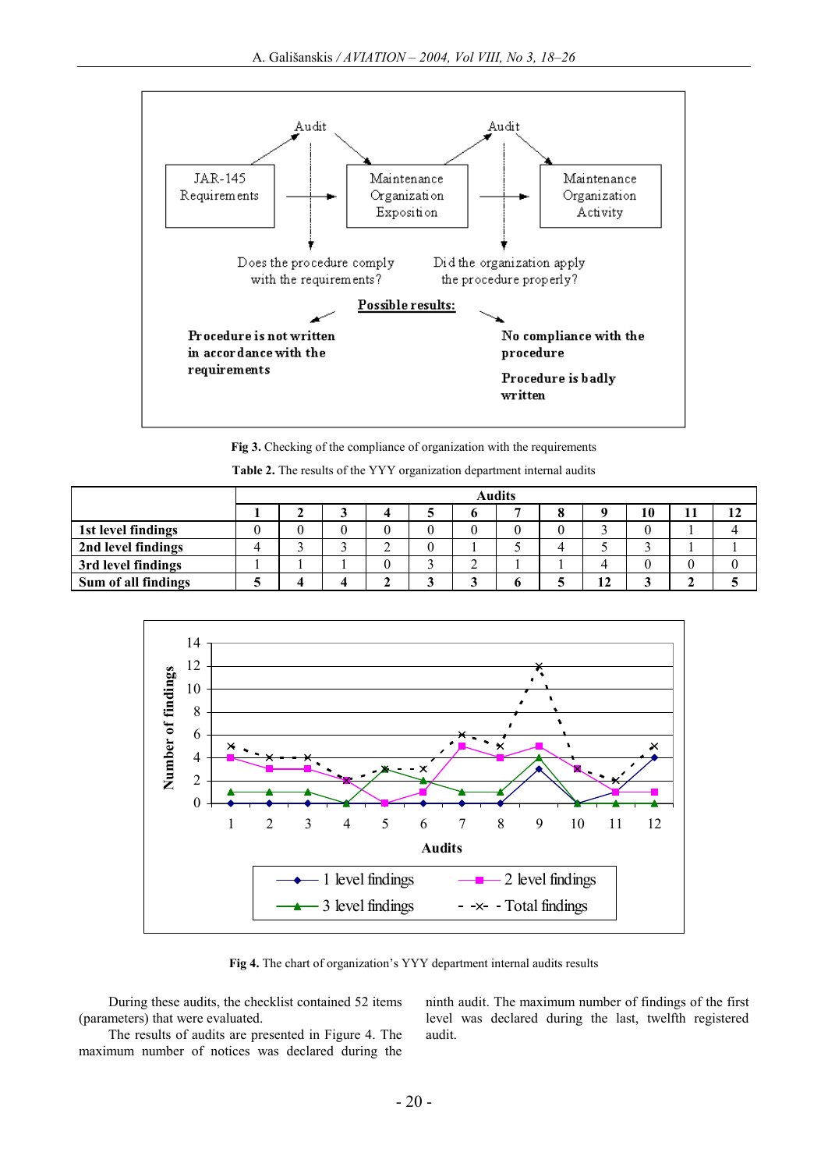

**Fig 3.** Checking of the compliance of organization with the requirements

| Table 2. The results of the YYY organization department internal audits |  |  |  |
|-------------------------------------------------------------------------|--|--|--|
|-------------------------------------------------------------------------|--|--|--|

|                     | <b>Audits</b> |  |  |        |  |   |  |    |    |    |
|---------------------|---------------|--|--|--------|--|---|--|----|----|----|
|                     |               |  |  |        |  |   |  |    | 10 | 12 |
| 1st level findings  |               |  |  | U      |  |   |  |    |    |    |
| 2nd level findings  |               |  |  | ◠<br>∠ |  |   |  |    |    |    |
| 3rd level findings  |               |  |  |        |  | ⌒ |  |    |    |    |
| Sum of all findings |               |  |  |        |  |   |  | 12 |    |    |



**Fig 4.** The chart of organization's YYY department internal audits results

During these audits, the checklist contained 52 items (parameters) that were evaluated.

The results of audits are presented in Figure 4. The maximum number of notices was declared during the

ninth audit. The maximum number of findings of the first level was declared during the last, twelfth registered audit.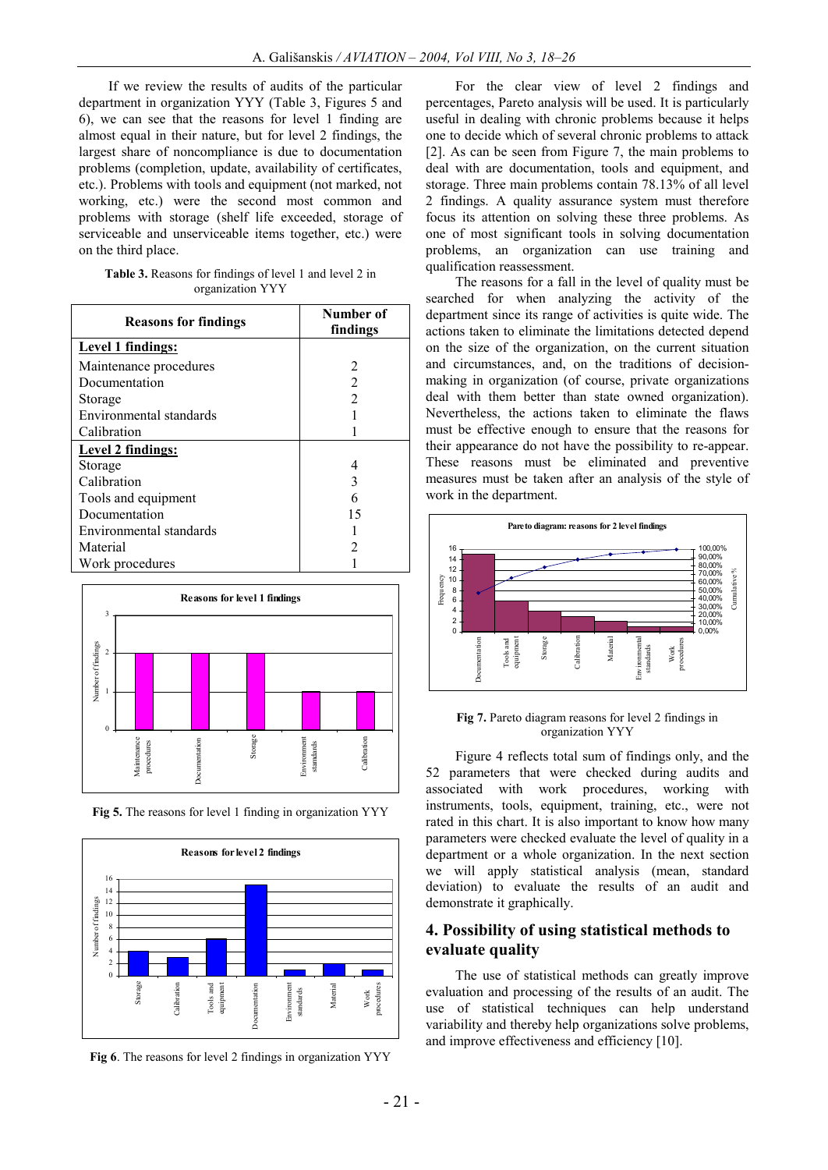If we review the results of audits of the particular department in organization YYY (Table 3, Figures 5 and 6), we can see that the reasons for level 1 finding are almost equal in their nature, but for level 2 findings, the largest share of noncompliance is due to documentation problems (completion, update, availability of certificates, etc.). Problems with tools and equipment (not marked, not working, etc.) were the second most common and problems with storage (shelf life exceeded, storage of serviceable and unserviceable items together, etc.) were on the third place.

| <b>Table 3.</b> Reasons for findings of level 1 and level 2 in |                  |  |  |
|----------------------------------------------------------------|------------------|--|--|
|                                                                | organization YYY |  |  |

| <b>Reasons for findings</b> | Number of<br>findings |  |  |
|-----------------------------|-----------------------|--|--|
| Level 1 findings:           |                       |  |  |
| Maintenance procedures      | 2                     |  |  |
| Documentation               | 2                     |  |  |
| Storage                     | $\overline{2}$        |  |  |
| Environmental standards     |                       |  |  |
| Calibration                 |                       |  |  |
| Level 2 findings:           |                       |  |  |
| Storage                     |                       |  |  |
| Calibration                 |                       |  |  |
| Tools and equipment         |                       |  |  |
| Documentation               | 15                    |  |  |
| Environmental standards     |                       |  |  |
| Material                    |                       |  |  |
| Work procedures             |                       |  |  |



**Fig 5.** The reasons for level 1 finding in organization YYY



**Fig 6**. The reasons for level 2 findings in organization YYY

For the clear view of level 2 findings and percentages, Pareto analysis will be used. It is particularly useful in dealing with chronic problems because it helps one to decide which of several chronic problems to attack [2]. As can be seen from Figure 7, the main problems to deal with are documentation, tools and equipment, and storage. Three main problems contain 78.13% of all level 2 findings. A quality assurance system must therefore focus its attention on solving these three problems. As one of most significant tools in solving documentation problems, an organization can use training and qualification reassessment.

The reasons for a fall in the level of quality must be searched for when analyzing the activity of the department since its range of activities is quite wide. The actions taken to eliminate the limitations detected depend on the size of the organization, on the current situation and circumstances, and, on the traditions of decisionmaking in organization (of course, private organizations deal with them better than state owned organization). Nevertheless, the actions taken to eliminate the flaws must be effective enough to ensure that the reasons for their appearance do not have the possibility to re-appear. These reasons must be eliminated and preventive measures must be taken after an analysis of the style of work in the department.



#### **Fig 7.** Pareto diagram reasons for level 2 findings in organization YYY

Figure 4 reflects total sum of findings only, and the 52 parameters that were checked during audits and associated with work procedures, working with instruments, tools, equipment, training, etc., were not rated in this chart. It is also important to know how many parameters were checked evaluate the level of quality in a department or a whole organization. In the next section we will apply statistical analysis (mean, standard deviation) to evaluate the results of an audit and demonstrate it graphically.

### **4. Possibility of using statistical methods to evaluate quality**

The use of statistical methods can greatly improve evaluation and processing of the results of an audit. The use of statistical techniques can help understand variability and thereby help organizations solve problems, and improve effectiveness and efficiency [10].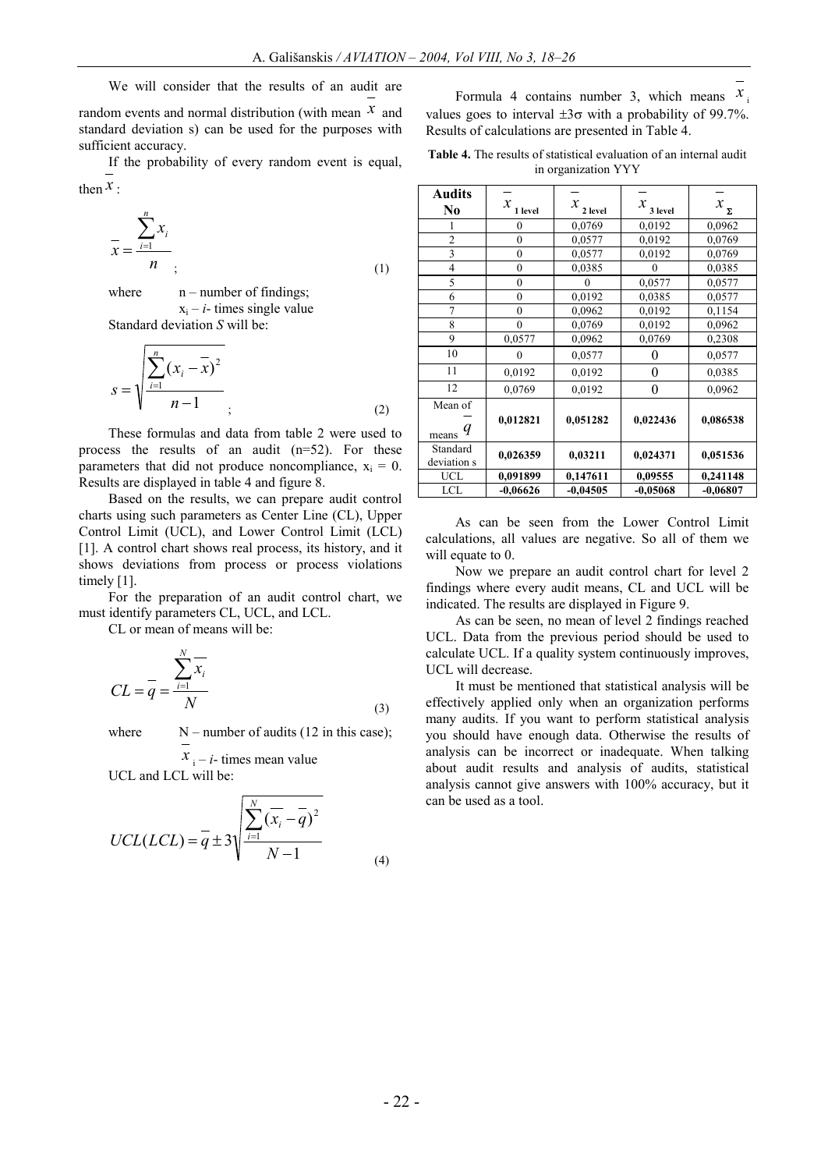We will consider that the results of an audit are

random events and normal distribution (with mean *x* and standard deviation s) can be used for the purposes with sufficient accuracy.

If the probability of every random event is equal, then  $\mathcal{X}$  :

$$
\bar{x} = \frac{\sum_{i=1}^{n} x_i}{n}
$$
\n(1)

where  $n$  – number of findings;  $x_i - i$ - times single value Standard deviation *S* will be:

$$
s = \sqrt{\frac{\sum_{i=1}^{n} (x_i - \overline{x})^2}{n-1}}
$$
 (2)

These formulas and data from table 2 were used to process the results of an audit (n=52). For these parameters that did not produce noncompliance,  $x_i = 0$ . Results are displayed in table 4 and figure 8.

Based on the results, we can prepare audit control charts using such parameters as Center Line (CL), Upper Control Limit (UCL), and Lower Control Limit (LCL) [1]. A control chart shows real process, its history, and it shows deviations from process or process violations timely [1].

For the preparation of an audit control chart, we must identify parameters CL, UCL, and LCL.

CL or mean of means will be:

$$
CL = \overline{q} = \frac{\sum_{i=1}^{N} \overline{x_i}}{N}
$$
\n(3)

where  $N$  – number of audits (12 in this case);

 $x_i - i$ - times mean value UCL and LCL will be:

$$
UCL(LCL) = \overline{q} \pm 3\sqrt{\frac{\sum_{i=1}^{N} (\overline{x_i} - \overline{q})^2}{N - 1}}
$$
\n(4)

Formula 4 contains number 3, which means  $x_i$ values goes to interval  $\pm 3\sigma$  with a probability of 99.7%. Results of calculations are presented in Table 4.

**Table 4.** The results of statistical evaluation of an internal audit in organization YYY

| Audits<br>No            | $\boldsymbol{\mathcal{X}}$<br>1 level | x<br>2 level | $x_{3 \text{ level}}$ | $x_{\rm _{\Sigma}}$ |
|-------------------------|---------------------------------------|--------------|-----------------------|---------------------|
|                         | $\mathbf{0}$                          | 0,0769       | 0,0192                | 0,0962              |
| $\overline{2}$          | $\overline{0}$                        | 0,0577       | 0,0192                | 0,0769              |
| 3                       | $\overline{0}$                        | 0,0577       | 0,0192                | 0,0769              |
| $\overline{4}$          | $\overline{0}$                        | 0,0385       | 0                     | 0.0385              |
| 5                       | $\overline{0}$                        | 0            | 0,0577                | 0,0577              |
| 6                       | $\overline{0}$                        | 0,0192       | 0,0385                | 0,0577              |
| $\overline{7}$          | $\mathbf{0}$                          | 0,0962       | 0,0192                | 0,1154              |
| 8                       | $\mathbf{0}$                          | 0,0769       | 0,0192                | 0,0962              |
| 9                       | 0,0577                                | 0,0962       | 0,0769                | 0,2308              |
| 10                      | $\theta$                              | 0,0577       | 0                     | 0,0577              |
| 11                      | 0,0192                                | 0,0192       | $\overline{0}$        | 0,0385              |
| 12                      | 0,0769                                | 0,0192       | 0                     | 0,0962              |
| Mean of                 |                                       |              |                       |                     |
| q<br>means              | 0,012821                              | 0,051282     | 0,022436              | 0,086538            |
| Standard<br>deviation s | 0,026359                              | 0,03211      | 0,024371              | 0,051536            |
| UCL                     | 0,091899                              | 0,147611     | 0,09555               | 0,241148            |
| LCL                     | $-0,06626$                            | $-0,04505$   | $-0,05068$            | $-0,06807$          |

As can be seen from the Lower Control Limit calculations, all values are negative. So all of them we will equate to 0.

Now we prepare an audit control chart for level 2 findings where every audit means, CL and UCL will be indicated. The results are displayed in Figure 9.

As can be seen, no mean of level 2 findings reached UCL. Data from the previous period should be used to calculate UCL. If a quality system continuously improves, UCL will decrease.

It must be mentioned that statistical analysis will be effectively applied only when an organization performs many audits. If you want to perform statistical analysis you should have enough data. Otherwise the results of analysis can be incorrect or inadequate. When talking about audit results and analysis of audits, statistical analysis cannot give answers with 100% accuracy, but it can be used as a tool.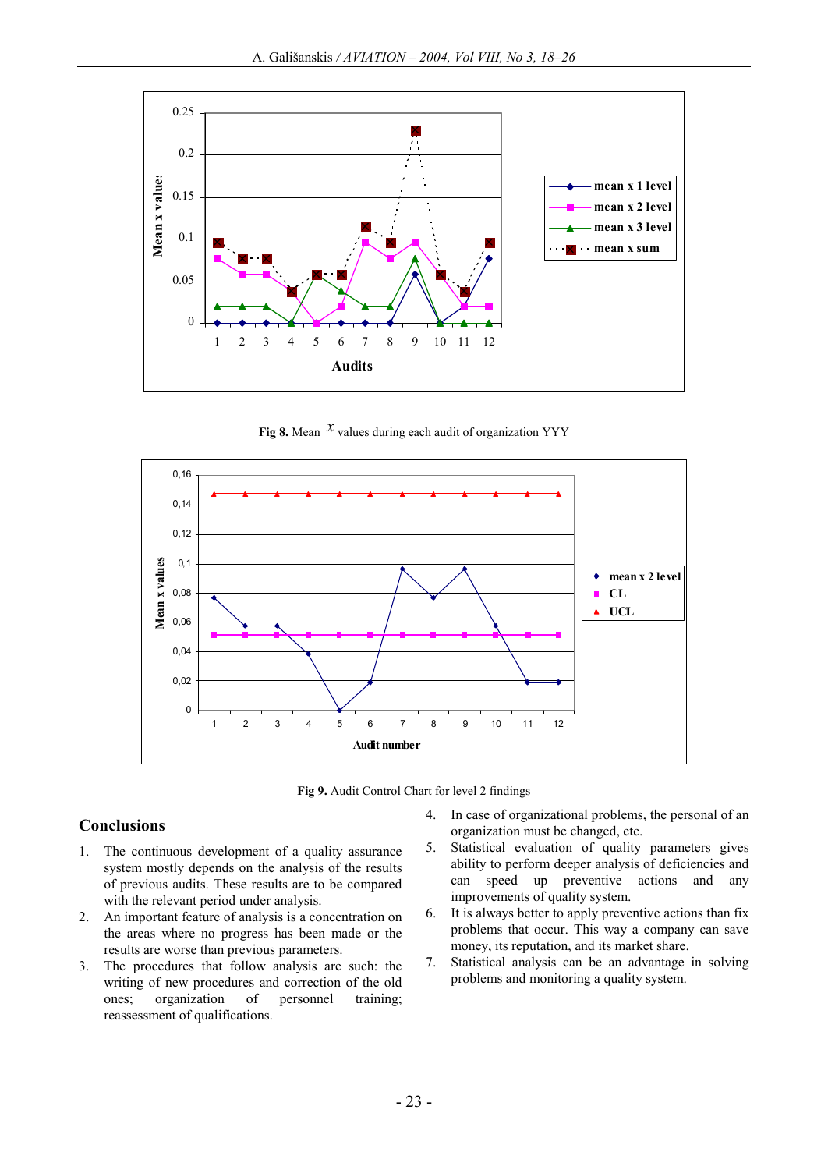

**Fig 8.** Mean  $^{\chi}$  values during each audit of organization YYY



**Fig 9.** Audit Control Chart for level 2 findings

# **Conclusions**

- 1. The continuous development of a quality assurance system mostly depends on the analysis of the results of previous audits. These results are to be compared with the relevant period under analysis.
- 2. An important feature of analysis is a concentration on the areas where no progress has been made or the results are worse than previous parameters.
- 3. The procedures that follow analysis are such: the writing of new procedures and correction of the old ones; organization of personnel training; reassessment of qualifications.
- 4. In case of organizational problems, the personal of an organization must be changed, etc.
- 5. Statistical evaluation of quality parameters gives ability to perform deeper analysis of deficiencies and can speed up preventive actions and any improvements of quality system.
- 6. It is always better to apply preventive actions than fix problems that occur. This way a company can save money, its reputation, and its market share.
- 7. Statistical analysis can be an advantage in solving problems and monitoring a quality system.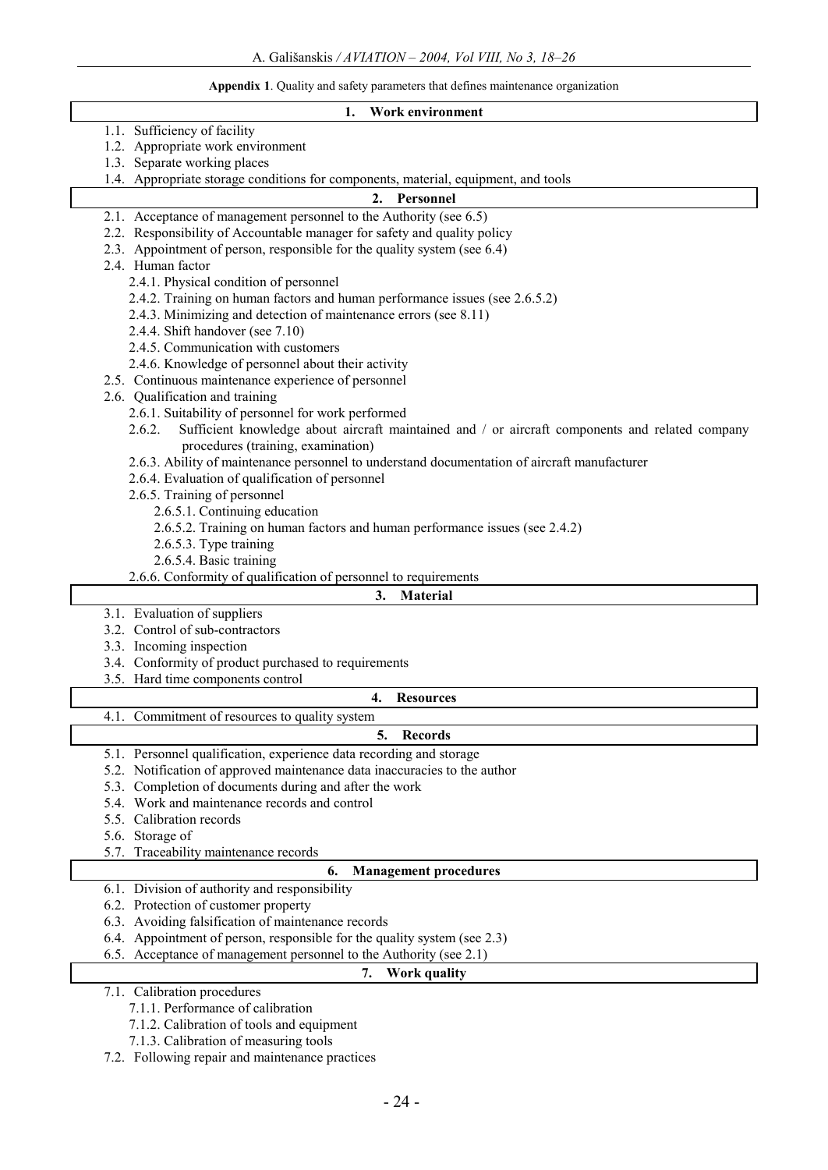#### **Appendix 1**. Quality and safety parameters that defines maintenance organization

#### **1. Work environment**

- 1.1. Sufficiency of facility
- 1.2. Appropriate work environment
- 1.3. Separate working places
- 1.4. Appropriate storage conditions for components, material, equipment, and tools

#### **2. Personnel**

- 2.1. Acceptance of management personnel to the Authority (see 6.5)
- 2.2. Responsibility of Accountable manager for safety and quality policy
- 2.3. Appointment of person, responsible for the quality system (see 6.4)
- 2.4. Human factor
	- 2.4.1. Physical condition of personnel
	- 2.4.2. Training on human factors and human performance issues (see 2.6.5.2)
	- 2.4.3. Minimizing and detection of maintenance errors (see 8.11)
	- 2.4.4. Shift handover (see 7.10)
	- 2.4.5. Communication with customers
	- 2.4.6. Knowledge of personnel about their activity
- 2.5. Continuous maintenance experience of personnel
- 2.6. Qualification and training
	- 2.6.1. Suitability of personnel for work performed
	- 2.6.2. Sufficient knowledge about aircraft maintained and / or aircraft components and related company procedures (training, examination)
	- 2.6.3. Ability of maintenance personnel to understand documentation of aircraft manufacturer
	- 2.6.4. Evaluation of qualification of personnel
	- 2.6.5. Training of personnel
		- 2.6.5.1. Continuing education
		- 2.6.5.2. Training on human factors and human performance issues (see 2.4.2)
		- 2.6.5.3. Type training
		- 2.6.5.4. Basic training

2.6.6. Conformity of qualification of personnel to requirements

#### **3. Material**

- 3.1. Evaluation of suppliers
- 3.2. Control of sub-contractors
- 3.3. Incoming inspection
- 3.4. Conformity of product purchased to requirements
- 3.5. Hard time components control

#### **4. Resources**

4.1. Commitment of resources to quality system

### **5. Records**

- 5.1. Personnel qualification, experience data recording and storage
- 5.2. Notification of approved maintenance data inaccuracies to the author
- 5.3. Completion of documents during and after the work
- 5.4. Work and maintenance records and control
- 5.5. Calibration records
- 5.6. Storage of
- 5.7. Traceability maintenance records

#### **6. Management procedures**

- 6.1. Division of authority and responsibility
- 6.2. Protection of customer property
- 6.3. Avoiding falsification of maintenance records
- 6.4. Appointment of person, responsible for the quality system (see 2.3)
- 6.5. Acceptance of management personnel to the Authority (see 2.1)

# **7. Work quality**

- 7.1. Calibration procedures
	- 7.1.1. Performance of calibration
	- 7.1.2. Calibration of tools and equipment
	- 7.1.3. Calibration of measuring tools
- 7.2. Following repair and maintenance practices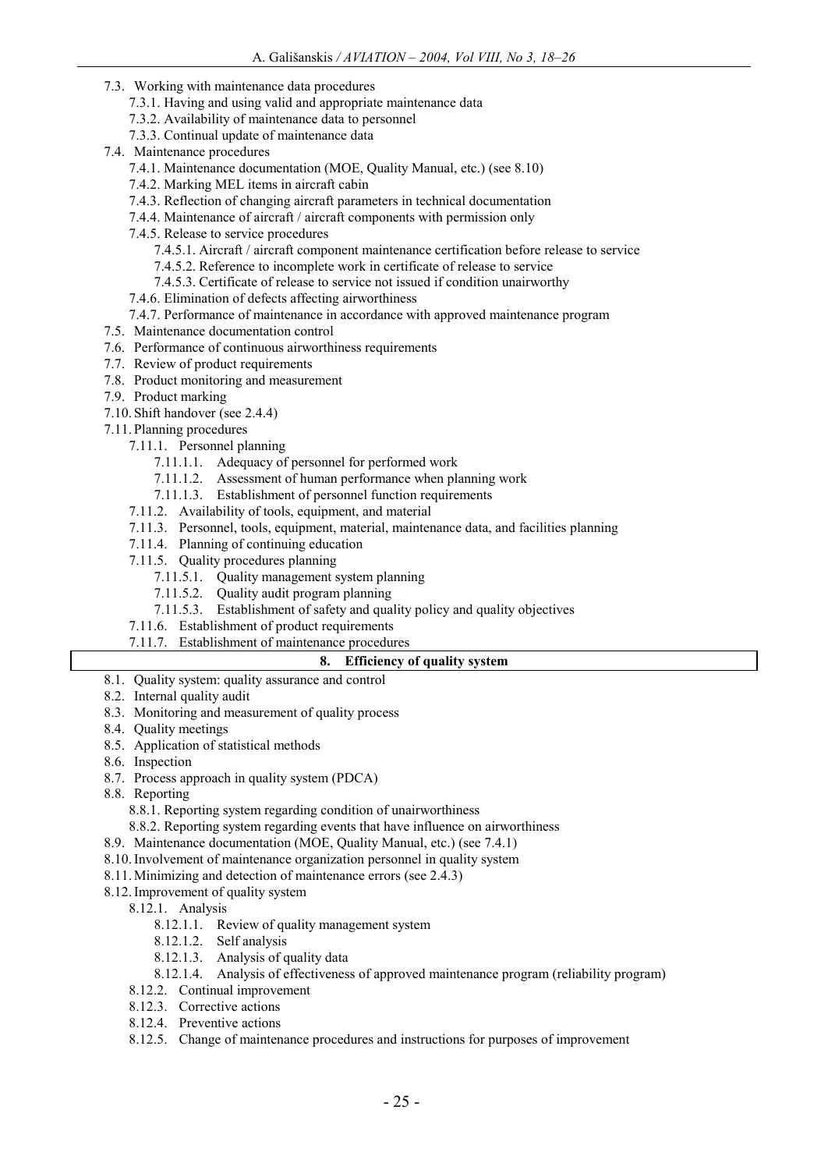- 7.3. Working with maintenance data procedures
	- 7.3.1. Having and using valid and appropriate maintenance data
	- 7.3.2. Availability of maintenance data to personnel
	- 7.3.3. Continual update of maintenance data
- 7.4. Maintenance procedures
	- 7.4.1. Maintenance documentation (MOE, Quality Manual, etc.) (see 8.10)
	- 7.4.2. Marking MEL items in aircraft cabin
	- 7.4.3. Reflection of changing aircraft parameters in technical documentation
	- 7.4.4. Maintenance of aircraft / aircraft components with permission only
	- 7.4.5. Release to service procedures
		- 7.4.5.1. Aircraft / aircraft component maintenance certification before release to service
		- 7.4.5.2. Reference to incomplete work in certificate of release to service
		- 7.4.5.3. Certificate of release to service not issued if condition unairworthy
	- 7.4.6. Elimination of defects affecting airworthiness
	- 7.4.7. Performance of maintenance in accordance with approved maintenance program
- 7.5. Maintenance documentation control
- 7.6. Performance of continuous airworthiness requirements
- 7.7. Review of product requirements
- 7.8. Product monitoring and measurement
- 7.9. Product marking
- 7.10. Shift handover (see 2.4.4)
- 7.11. Planning procedures
	- 7.11.1. Personnel planning
		- 7.11.1.1. Adequacy of personnel for performed work
		- 7.11.1.2. Assessment of human performance when planning work
		- 7.11.1.3. Establishment of personnel function requirements
	- 7.11.2. Availability of tools, equipment, and material
	- 7.11.3. Personnel, tools, equipment, material, maintenance data, and facilities planning
	- 7.11.4. Planning of continuing education
	- 7.11.5. Quality procedures planning
		- 7.11.5.1. Quality management system planning
		- 7.11.5.2. Quality audit program planning
		- 7.11.5.3. Establishment of safety and quality policy and quality objectives
	- 7.11.6. Establishment of product requirements
	- 7.11.7. Establishment of maintenance procedures

### **8. Efficiency of quality system**

- 8.1. Quality system: quality assurance and control
- 8.2. Internal quality audit
- 8.3. Monitoring and measurement of quality process
- 8.4. Quality meetings
- 8.5. Application of statistical methods
- 8.6. Inspection
- 8.7. Process approach in quality system (PDCA)
- 8.8. Reporting
	- 8.8.1. Reporting system regarding condition of unairworthiness
	- 8.8.2. Reporting system regarding events that have influence on airworthiness
- 8.9. Maintenance documentation (MOE, Quality Manual, etc.) (see 7.4.1)
- 8.10.Involvement of maintenance organization personnel in quality system
- 8.11.Minimizing and detection of maintenance errors (see 2.4.3)
- 8.12.Improvement of quality system
	- 8.12.1. Analysis
		- 8.12.1.1. Review of quality management system
		- 8.12.1.2. Self analysis
		- 8.12.1.3. Analysis of quality data
		- 8.12.1.4. Analysis of effectiveness of approved maintenance program (reliability program)
	- 8.12.2. Continual improvement
	- 8.12.3. Corrective actions
	- 8.12.4. Preventive actions
	- 8.12.5. Change of maintenance procedures and instructions for purposes of improvement